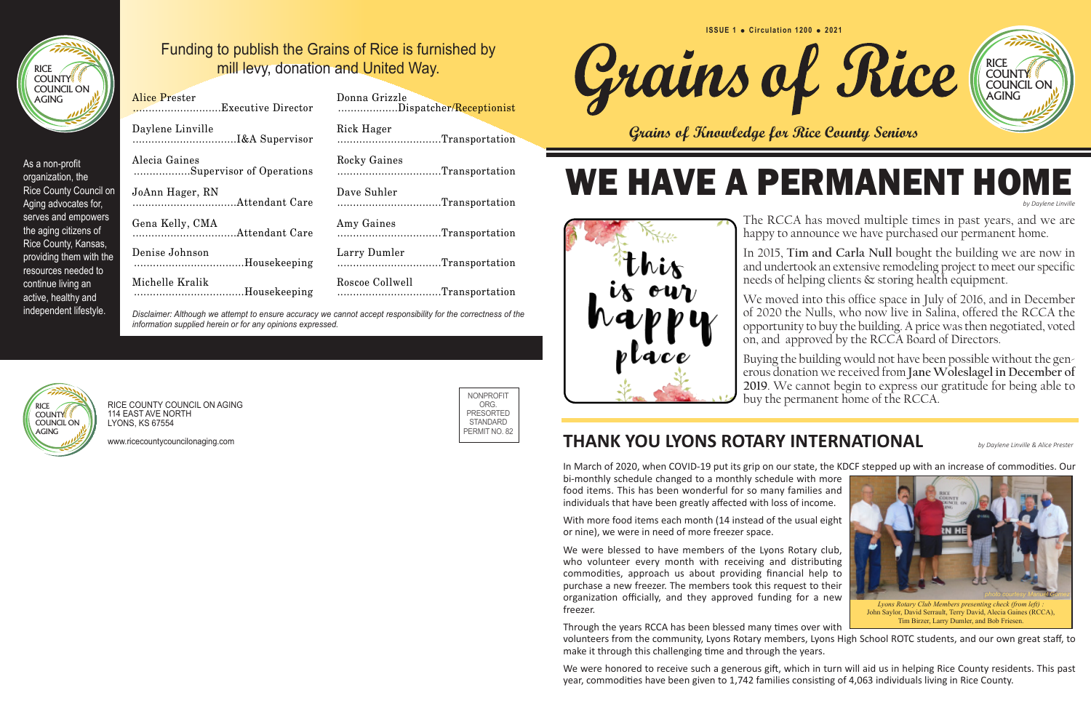#### **THANK YOU LYONS ROTARY INTERNATIONAL** *by Daylene Linville & Alice Prester*

In March of 2020, when COVID-19 put its grip on our state, the KDCF stepped up with an increase of commodities. Our bi-monthly schedule changed to a monthly schedule with more food items. This has been wonderful for so many families and individuals that have been greatly affected with loss of income.

With more food items each month (14 instead of the usual eight or nine), we were in need of more freezer space.

We were blessed to have members of the Lyons Rotary club, who volunteer every month with receiving and distributing commodities, approach us about providing financial help to purchase a new freezer. The members took this request to their organization officially, and they approved funding for a new freezer.

Through the years RCCA has been blessed many times over with volunteers from the community, Lyons Rotary members, Lyons High School ROTC students, and our own great staff, to make it through this challenging time and through the years.

#### WE HAVE A PERMANENT HOM *by Daylene Linville*

We were honored to receive such a generous gift, which in turn will aid us in helping Rice County residents. This past year, commodities have been given to 1,742 families consisting of 4,063 individuals living in Rice County.



The RCCA has moved multiple times in past years, and we are happy to announce we have purchased our permanent home.



and undertook an extensive remodeling project to meet our specific needs of helping clients & storing health equipment.

We moved into this office space in July of 2016, and in December of 2020 the Nulls, who now live in Salina, offered the RCCA the opportunity to buy the building. A price was then negotiated, voted on, and approved by the RCCA Board of Directors.

Buying the building would not have been possible without the generous donation we received from **Jane Woleslagel in December of 2019**. We cannot begin to express our gratitude for being able to buy the permanent home of the RCCA.

> **EN HE** *photo courtesy Manuel Gomez Lyons Rotary Club Members presenting check (from left) :*  John Saylor, David Serrault, Terry David, Alecia Gaines (RCCA), Tim Birzer, Larry Dumler, and Bob Friesen.

**Grains of Knowledge for Rice County Seniors**

| Funding to publish the Grains of Rice is furnished by |
|-------------------------------------------------------|
| mill levy, donation and United Way.                   |

| <b>Alice Prester</b>     | Donna Grizzle                                                                                               |
|--------------------------|-------------------------------------------------------------------------------------------------------------|
|                          | Dispatcher/Receptionist                                                                                     |
| Daylene Linville         | Rick Hager                                                                                                  |
|                          | Transportation                                                                                              |
| Alecia Gaines            | Rocky Gaines                                                                                                |
| Supervisor of Operations | Transportation                                                                                              |
| JoAnn Hager, RN          | Dave Suhler                                                                                                 |
|                          | Transportation                                                                                              |
| Gena Kelly, CMA          | Amy Gaines                                                                                                  |
|                          | Transportation                                                                                              |
| Denise Johnson           | Larry Dumler                                                                                                |
| Housekeeping             | Transportation                                                                                              |
| Michelle Kralik          | Roscoe Collwell                                                                                             |
| Housekeeping             | Transportation                                                                                              |
|                          | Diesleimen: Albernahme ettempt te energie expriment mesonet expant generalbility fan the exprestresse of th |

| Donna Grizzle<br>Dispatcher/ <mark>Receptionist</mark> |
|--------------------------------------------------------|
| Rick Hager<br>Transportation                           |
| Rocky Gaines<br>Transportation                         |
| Dave Suhler<br>Transportation                          |
| Amy Gaines<br>Transportation                           |
| Larry Dumler<br>Transportation                         |
| Roscoe Collwell<br>Transportation                      |

*Disclaimer: Although we attempt to ensure accuracy we cannot accept responsibility for the correctness of the information supplied herein or for any opinions expressed.*

As a non-profit organization, the Rice County Council on Aging advocates for, serves and empowers the aging citizens of Rice County, Kansas, providing them with the resources needed to continue living an active, healthy and independent lifestyle.

> RICE COUNTY COUNCIL ON AGING 114 EAST AVE NORTH LYONS, KS 67554

www.ricecountycouncilonaging.com







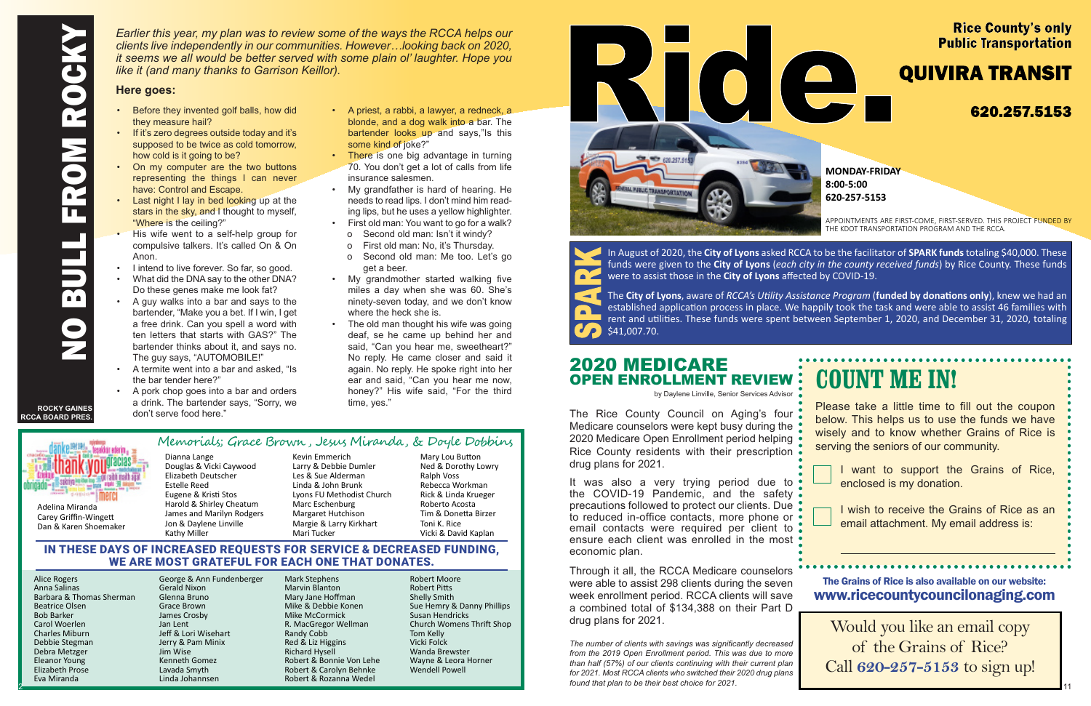Dan & Karen Shoemaker

Kevin Emmerich Larry & Debbie Dumler Les & Sue Alderman Linda & John Brunk Lyons FU Methodist Church Marc Eschenburg Margaret Hutchison Margie & Larry Kirkhart Mari Tucker

Mary Lou Button Ned & Dorothy Lowry Ralph Voss Rebecca Workman Rick & Linda Krueger Roberto Acosta Tim & Donetta Birzer Toni K. Rice Vicki & David Kaplan

- they measure hail?
- If it's zero degrees outside today and it's supposed to be twice as cold tomorrow, how cold is it going to be?
- On my computer are the two buttons representing the things I can never have: Control and Escape.
- Last night I lay in bed looking up at the stars in the sky, and I thought to myself, "Where is the ceiling?"
- His wife went to a self-help group for compulsive talkers. It's called On & On Anon.
- I intend to live forever. So far, so good.
- What did the DNA say to the other DNA? Do these genes make me look fat?
- A guy walks into a bar and says to the bartender, "Make you a bet. If I win, I get a free drink. Can you spell a word with ten letters that starts with GAS?" The bartender thinks about it, and says no. The guy says, "AUTOMOBILE!"
- A termite went into a bar and asked, "Is the bar tender here?"
- A pork chop goes into a bar and orders a drink. The bartender says, "Sorry, we don't serve food here."

Dianna Lange Douglas & Vicki Caywood Elizabeth Deutscher Estelle Reed Eugene & Kristi Stos Harold & Shirley Cheatum James and Marilyn Rodgers Jon & Daylene Linville Kathy Miller Memorials; Grace Brown , Jesus Miranda, & Doyle Dobbins

- A priest, a rabbi, a lawyer, a redneck, a blonde, and a dog walk into a bar. The bartender looks up and says,"Is this some kind of joke?"
- **There is one big advantage in turning** 70. You don't get a lot of calls from life insurance salesmen.
- My grandfather is hard of hearing. He needs to read lips. I don't mind him reading lips, but he uses a yellow highlighter.
- First old man: You want to go for a walk? o Second old man: Isn't it windy?
	- o First old man: No, it's Thursday.
	- o Second old man: Me too. Let's go get a beer.
- My grandmother started walking five miles a day when she was 60. She's ninety-seven today, and we don't know where the heck she is.
- The old man thought his wife was going deaf, se he came up behind her and said, "Can you hear me, sweetheart?" No reply. He came closer and said it again. No reply. He spoke right into her ear and said, "Can you hear me now, honey?" His wife said, "For the third time, yes."

It was also a very trying period due to  $\bullet$ the COVID-19 Pandemic, and the safety precautions followed to protect our clients. Due to reduced in-office contacts, more phone or  $\bullet$ email contacts were required per client to ensure each client was enrolled in the most economic plan.

2

## **COUNT ME IN!**

APPOINTMENTS ARE FIRST-COME, FIRST-SERVED. THIS PROJECT FUNDED BY THE KDOT TRANSPORTATION PROGRAM AND THE RCCA.

Please take a little time to fill out the coupon below. This helps us to use the funds we have wisely and to know whether Grains of Rice is serving the seniors of our community.



I want to support the Grains of Rice, enclosed is my donation.

In August of 2020, the **City of Lyons** asked RCCA to be the facilitator of **SPARK funds** totaling \$40,000. These funds were given to the **City of Lyons** (*each city in the county received funds*) by Rice County. These funds were to assist those in the **City of Lyons** affected by COVID-19.



I wish to receive the Grains of Rice as an email attachment. My email address is:

#### IN THESE DAYS OF INCREASED REQUESTS FOR SERVICE & DECREASED FUNDING, WE ARE MOST GRATEFUL FOR EACH ONE THAT DONATES.

Alice Rogers Anna Salinas Barbara & Thomas Sherman Beatrice Olsen Bob Barker Carol Woerlen Charles Miburn Debbie Stegman Debra Metzger Eleanor Young Elizabeth Prose Eva Miranda

George & Ann Fundenberger Gerald Nixon Glenna Bruno Grace Brown James Crosby Jan Lent Jeff & Lori Wisehart Jerry & Pam Minix Jim Wise Kenneth Gomez Lavada Smyth Linda Johannsen

Mark Stephens Marvin Blanton Mary Jane Hoffman Mike & Debbie Konen Mike McCormick R. MacGregor Wellman Randy Cobb Red & Liz Higgins Richard Hysell Robert & Bonnie Von Lehe Robert & Carolyn Behnke Robert & Rozanna Wedel

Robert Moore Robert Pitts Shelly Smith Sue Hemry & Danny Phillips Susan Hendricks Church Womens Thrift Shop Tom Kelly Vicki Folck Wanda Brewster Wayne & Leora Horner Wendell Powell



Would you like an email copy of the Grains of Rice? Call **620-257-5153** to sign up!

#### The Grains of Rice is also available on our website: www.ricecountycouncilonaging.com

#### 2020 MEDICARE OPEN ENROLLMENT REVIEW

by Daylene Linville, Senior Services Advisor

The Rice County Council on Aging's four Medicare counselors were kept busy during the 2020 Medicare Open Enrollment period helping Rice County residents with their prescription drug plans for 2021.

Through it all, the RCCA Medicare counselors were able to assist 298 clients during the seven week enrollment period. RCCA clients will save a combined total of \$134,388 on their Part D drug plans for 2021.

*The number of clients with savings was significantly decreased from the 2019 Open Enrollment period. This was due to more than half (57%) of our clients continuing with their current plan for 2021. Most RCCA clients who switched their 2020 drug plans found that plan to be their best choice for 2021.*

#### **Rice County's only Public Transportation**

### **QUIVIRA TRANSIT**

#### 620.257.5153



**MONDAYFRIDAY 8:005:00 6202575153** 

*Earlier this year, my plan was to review some of the ways the RCCA helps our clients live independently in our communities. However…looking back on 2020, it seems we all would be better served with some plain ol' laughter. Hope you like it (and many thanks to Garrison Keillor).* 

#### **Here goes:**

**ROCKY GAINES** 

Adelina Miranda Carey Griffin-Wingett

# **RCCA BOARD PRES.**

The **City of Lyons**, aware of *RCCA's Utility Assistance Program* (**funded by donations only**), knew we had an established application process in place. We happily took the task and were able to assist 46 families with rent and utilities. These funds were spent between September 1, 2020, and December 31, 2020, totaling \$41,007.70.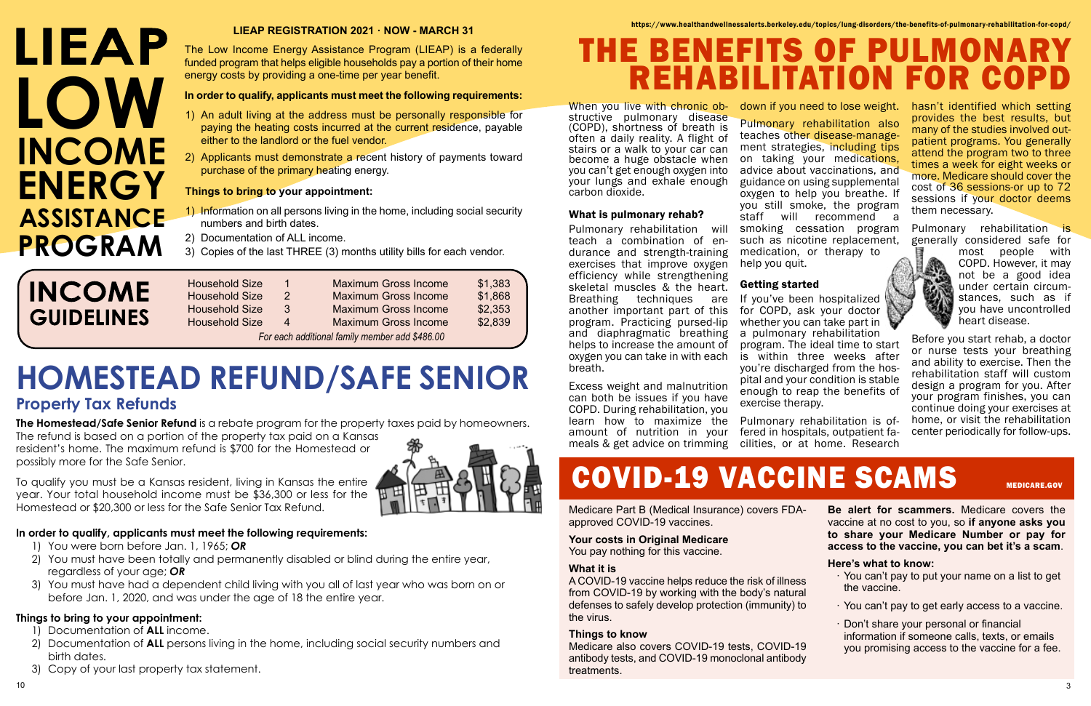When you live with chronic obstructive pulmonary disease (COPD), shortness of breath is often a daily reality. A flight of stairs or a walk to your car can become a huge obstacle when you can't get enough oxygen into your lungs and exhale enough carbon dioxide.

#### What is pulmonary rehab?

Pulmonary rehabilitation will teach a combination of endurance and strength-training exercises that improve oxygen efficiency while strengthening skeletal muscles & the heart. Breathing techniques are another important part of this program. Practicing pursed-lip and diaphragmatic breathing helps to increase the amount of oxygen you can take in with each breath.

If you've been hospitalized for COPD, ask your doctor whether you can take part in a pulmonary rehabilitation

Excess weight and malnutrition can both be issues if you have COPD. During rehabilitation, you learn how to maximize the amount of nutrition in your meals & get advice on trimming down if you need to lose weight.

Pulmonary rehabilitation is generally considered safe for



Pulmonary rehabilitation also teaches other disease-management strategies, including tips on taking your medications, advice about vaccinations, and guidance on using supplemental oxygen to help you breathe. If you still smoke, the program staff will recommend a smoking cessation program such as nicotine replacement, medication, or therapy to help you quit.

#### Getting started

program. The ideal time to start is within three weeks after you're discharged from the hospital and your condition is stable enough to reap the benefits of

exercise therapy. Pulmonary rehabilitation is offered in hospitals, outpatient facilities, or at home. Research

# COVID-19 VACCINE SCAMS MEDICARE.GOV

hasn't identified which setting provides the best results, but many of the studies involved outpatient programs. You generally attend the program two to three times a week for eight weeks or more. Medicare should cover the cost of 36 sessions-or up to 72 sessions if your doctor deems them necessary.

# LIEAP **LOW INCOME ENERGY ASSISTANCE PROGRAM**

most people with COPD. However, it may not be a good idea under certain circumstances, such as if you have uncontrolled heart disease.

Before you start rehab, a doctor or nurse tests your breathing and ability to exercise. Then the rehabilitation staff will custom design a program for you. After your program finishes, you can continue doing your exercises at home, or visit the rehabilitation center periodically for follow-ups.

Medicare Part B (Medical Insurance) covers FDAapproved COVID-19 vaccines.

#### **Your costs in Original Medicare**

You pay nothing for this vaccine.

#### **What it is**

A COVID-19 vaccine helps reduce the risk of illness from COVID-19 by working with the body's natural defenses to safely develop protection (immunity) to the virus.

#### **Things to know**

Medicare also covers COVID-19 tests, COVID-19 antibody tests, and COVID-19 monoclonal antibody treatments.

**Be alert for scammers.** Medicare covers the vaccine at no cost to you, so **if anyone asks you to share your Medicare Number or pay for access to the vaccine, you can bet it's a scam**.

#### **Here's what to know:**

- · You can't pay to put your name on a list to get the vaccine.
- · You can't pay to get early access to a vaccine.
- · Don't share your personal or financial information if someone calls, texts, or emails you promising access to the vaccine for a fee.
- 

https://www.healthandwellnessalerts.berkeley.edu/topics/lung-disorders/the-benefits-of-pulmonary-rehabilitation-for-copd/

10 3

#### **LIEAP REGISTRATION 2021 · NOW - MARCH 31**

The Low Income Energy Assistance Program (LIEAP) is a federally funded program that helps eligible households pay a portion of their home energy costs by providing a one-time per year benefit.

#### **In order to qualify, applicants must meet the following requirements:**

- 1) An adult living at the address must be personally responsible for paying the heating costs incurred at the current residence, payable either to the landlord or the fuel vendor.
- 2) Applicants must demonstrate a recent history of payments toward purchase of the primary heating energy.

#### **Things to bring to your appointment:**

- 1) Information on all persons living in the home, including social security numbers and birth dates.
- 2) Documentation of ALL income.
- 3) Copies of the last THREE (3) months utility bills for each vendor.

## **INCOME GUIDELINES**

| <b>Household Size</b>                          | $\mathbf 1$   | <b>Maximum Gross Income</b> | \$1,383 |  |  |  |
|------------------------------------------------|---------------|-----------------------------|---------|--|--|--|
| <b>Household Size</b>                          | $\mathcal{P}$ | <b>Maximum Gross Income</b> | \$1,868 |  |  |  |
| <b>Household Size</b>                          | 3             | <b>Maximum Gross Income</b> | \$2,353 |  |  |  |
| <b>Household Size</b>                          | Δ             | <b>Maximum Gross Income</b> | \$2,839 |  |  |  |
| For each additional family member add \$486.00 |               |                             |         |  |  |  |

# **HOMESTEAD REFUND/SAFE SENIOR**

#### **Property Tax Refunds**

**The Homestead/Safe Senior Refund** is a rebate program for the property taxes paid by homeowners.

The refund is based on a portion of the property tax paid on a Kansas resident's home. The maximum refund is \$700 for the Homestead or possibly more for the Safe Senior.

To qualify you must be a Kansas resident, living in Kansas the entire year. Your total household income must be \$36,300 or less for the Homestead or \$20,300 or less for the Safe Senior Tax Refund.

#### **In order to qualify, applicants must meet the following requirements:**

- 1) You were born before Jan. 1, 1965; *OR*
- 2) You must have been totally and permanently disabled or blind during the entire year, regardless of your age; *OR*
- 3) You must have had a dependent child living with you all of last year who was born on or before Jan. 1, 2020, and was under the age of 18 the entire year.

#### **Things to bring to your appointment:**

- 1) Documentation of **ALL** income.
- 2) Documentation of **ALL** persons living in the home, including social security numbers and birth dates.
- 3) Copy of your last property tax statement.



# THE BENEFITS OF PULMOI **REHABILITATION FOR COI**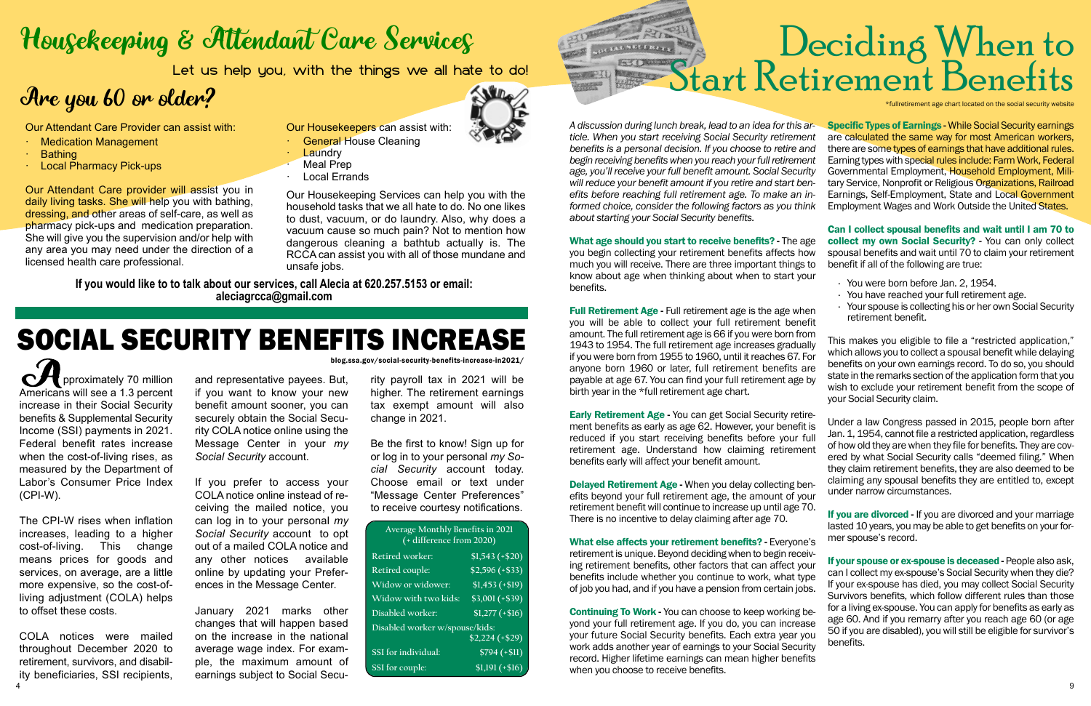# Housekeeping & Attendant Care Services

Let us help you, with the things we all hate to do!

## Are you 60 or older?

**PU** pproximately 70 million Americans will see a 1.3 percent increase in their Social Security benefits & Supplemental Security Income (SSI) payments in 2021. Federal benefit rates increase when the cost-of-living rises, as measured by the Department of Labor's Consumer Price Index (CPI-W).

COLA notices were mailed throughout December 2020 to retirement, survivors, and disability beneficiaries, SSI recipients,  $\frac{4}{9}$ 

The CPI-W rises when inflation increases, leading to a higher cost-of-living. This change means prices for goods and services, on average, are a little more expensive, so the cost-ofliving adjustment (COLA) helps to offset these costs.

and representative payees. But, if you want to know your new benefit amount sooner, you can securely obtain the Social Security COLA notice online using the Message Center in your *my Social Security* account.

If you prefer to access your COLA notice online instead of receiving the mailed notice, you can log in to your personal *my Social Security* account to opt out of a mailed COLA notice and any other notices available online by updating your Preferences in the Message Center.

January 2021 marks other changes that will happen based on the increase in the national average wage index. For example, the maximum amount of earnings subject to Social SecuA discussion during lunch break, lead to an idea for this *ticle. When you start receiving Social Security retirement clears benefits is a personal decision. If you choose to retire a* begin receiving benefits when you reach your full retirement age, you'll receive your full benefit amount. Social Secur will reduce your benefit amount if you retire and start be *efits before reaching full retirement age. To make an informed choice, consider the following factors as you the about starting your Social Security benefits.* 

rity payroll tax in 2021 will be higher. The retirement earnings tax exempt amount will also change in 2021.

What age should you start to receive benefits? - The a you begin collecting your retirement benefits affects how much you will receive. There are three important things know about age when thinking about when to start your benefits.

Be the first to know! Sign up for or log in to your personal *my Social Security* account today. Choose email or text under "Message Center Preferences" to receive courtesy notifications.

**Full Retirement Age - Full retirement age is the age whenever** you will be able to collect your full retirement bene amount. The full retirement age is 66 if you were born from 1943 to 1954. The full retirement age increases gradual if you were born from 1955 to 1960, until it reaches 67. anyone born 1960 or later, full retirement benefits payable at age 67. You can find your full retirement age birth year in the \*full retirement age chart.

Our Attendant Care Provider can assist with:

- · Medication Management
- · Bathing
- · Local Pharmacy Pick-ups

Early Retirement Age - You can get Social Security ret ment benefits as early as age 62. However, your benefit reduced if you start receiving benefits before your retirement age. Understand how claiming retirement benefits early will affect your benefit amount.

Delayed Retirement Age - When you delay collecting be efits beyond your full retirement age, the amount of  $\psi$ retirement benefit will continue to increase up until age There is no incentive to delay claiming after age 70.

Our Attendant Care provider will assist you in daily living tasks. She will help you with bathing, dressing, and other areas of self-care, as well as pharmacy pick-ups and medication preparation. She will give you the supervision and/or help with any area you may need under the direction of a licensed health care professional.

> What else affects your retirement benefits? - Everyone retirement is unique. Beyond deciding when to begin rece ing retirement benefits, other factors that can affect your benefits include whether you continue to work, what ty of job you had, and if you have a pension from certain jobs.

Continuing To Work - You can choose to keep working beyond your full retirement age. If you do, you can increase your future Social Security benefits. Each extra year you work adds another year of earnings to your Social Security record. Higher lifetime earnings can mean higher benefits when you choose to receive benefits.



# Deciding When to<br>tart Retirement Benefits

fullretirement age chart located on the social security website

| $ar -$<br>ent<br>and<br>ent<br>ırity<br>en-<br>in-<br>ıink                                | <b>Specific Types of Earnings - While Social Security earnings</b><br>are calculated the same way for most American workers,<br>there are some types of earnings that have additional rules.<br>Earning types with special rules include: Farm Work, Federal<br>Governmental Employment, Household Employment, Mili-<br>tary Service, Nonprofit or Religious Organizations, Railroad<br>Earnings, Self-Employment, State and Local Government<br>Employment Wages and Work Outside the United States. |
|-------------------------------------------------------------------------------------------|-------------------------------------------------------------------------------------------------------------------------------------------------------------------------------------------------------------------------------------------------------------------------------------------------------------------------------------------------------------------------------------------------------------------------------------------------------------------------------------------------------|
|                                                                                           |                                                                                                                                                                                                                                                                                                                                                                                                                                                                                                       |
| age<br><b>OW</b><br>s to<br>our<br>nen<br>efit<br><b>om</b><br>ally<br>For<br>are<br>e by | Can I collect spousal benefits and wait until I am 70 to<br>collect my own Social Security? - You can only collect<br>spousal benefits and wait until 70 to claim your retirement<br>benefit if all of the following are true:                                                                                                                                                                                                                                                                        |
|                                                                                           | You were born before Jan. 2, 1954.<br>You have reached your full retirement age.<br>k,<br>Your spouse is collecting his or her own Social Security<br>retirement benefit.                                                                                                                                                                                                                                                                                                                             |
|                                                                                           | This makes you eligible to file a "restricted application,"<br>which allows you to collect a spousal benefit while delaying<br>benefits on your own earnings record. To do so, you should<br>state in the remarks section of the application form that you<br>wish to exclude your retirement benefit from the scope of<br>your Social Security claim.                                                                                                                                                |
| tire-<br>it is<br>full<br>ent<br>en-<br>our                                               | Under a law Congress passed in 2015, people born after<br>Jan. 1, 1954, cannot file a restricted application, regardless<br>of how old they are when they file for benefits. They are cov-<br>ered by what Social Security calls "deemed filing." When<br>they claim retirement benefits, they are also deemed to be<br>claiming any spousal benefits they are entitled to, except<br>under narrow circumstances.                                                                                     |
| 70.<br>e's                                                                                | If you are divorced - If you are divorced and your marriage<br>lasted 10 years, you may be able to get benefits on your for-<br>mer spouse's record.                                                                                                                                                                                                                                                                                                                                                  |
| eiv⊦<br>our<br>ype<br>۱hc.                                                                | If your spouse or ex-spouse is deceased - People also ask,<br>can I collect my ex-spouse's Social Security when they die?<br>If your ex-spouse has died, you may collect Social Security                                                                                                                                                                                                                                                                                                              |

Survivors benefits, which follow different rules than those for a living ex-spouse. You can apply for benefits as early as age 60. And if you remarry after you reach age 60 (or age 50 if you are disabled), you will still be eligible for survivor's benefits.

Our Housekeepers can assist with:

- **General House Cleaning**
- **Laundry**
- **Meal Prep**
- **Local Errands**

Our Housekeeping Services can help you with the household tasks that we all hate to do. No one likes to dust, vacuum, or do laundry. Also, why does a vacuum cause so much pain? Not to mention how dangerous cleaning a bathtub actually is. The RCCA can assist you with all of those mundane and unsafe jobs.

**If you would like to to talk about our services, call Alecia at 620.257.5153 or email: aleciagrcca@gmail.com**

| Average Monthly Benefits in 2021<br>(+ difference from 2020) |                             |  |  |  |  |  |  |  |
|--------------------------------------------------------------|-----------------------------|--|--|--|--|--|--|--|
| Retired worker:                                              | $$1,543 (+\$20)$            |  |  |  |  |  |  |  |
| Retired couple:                                              | $\overline{$2,596 (+\$33)}$ |  |  |  |  |  |  |  |
| Widow or widower:                                            | $$1,453 (+ $19)$            |  |  |  |  |  |  |  |
| Widow with two kids:                                         | $\overline{$3,001}$ (+\$39) |  |  |  |  |  |  |  |
| Disabled worker:                                             | $\overline{$1,277}$ (+\$16) |  |  |  |  |  |  |  |
| Disabled worker w/spouse/kids:                               |                             |  |  |  |  |  |  |  |
|                                                              | $$2,224$ (+\$29)            |  |  |  |  |  |  |  |
| SSI for individual:                                          | $$794 (+ $11)$              |  |  |  |  |  |  |  |
| SSI for couple:                                              | $$1,191 (+ $16)$            |  |  |  |  |  |  |  |



# SOCIAL SECURITY BENEFITS INCREASE

blog.ssa.gov/social-security-benefits-increase-in2021/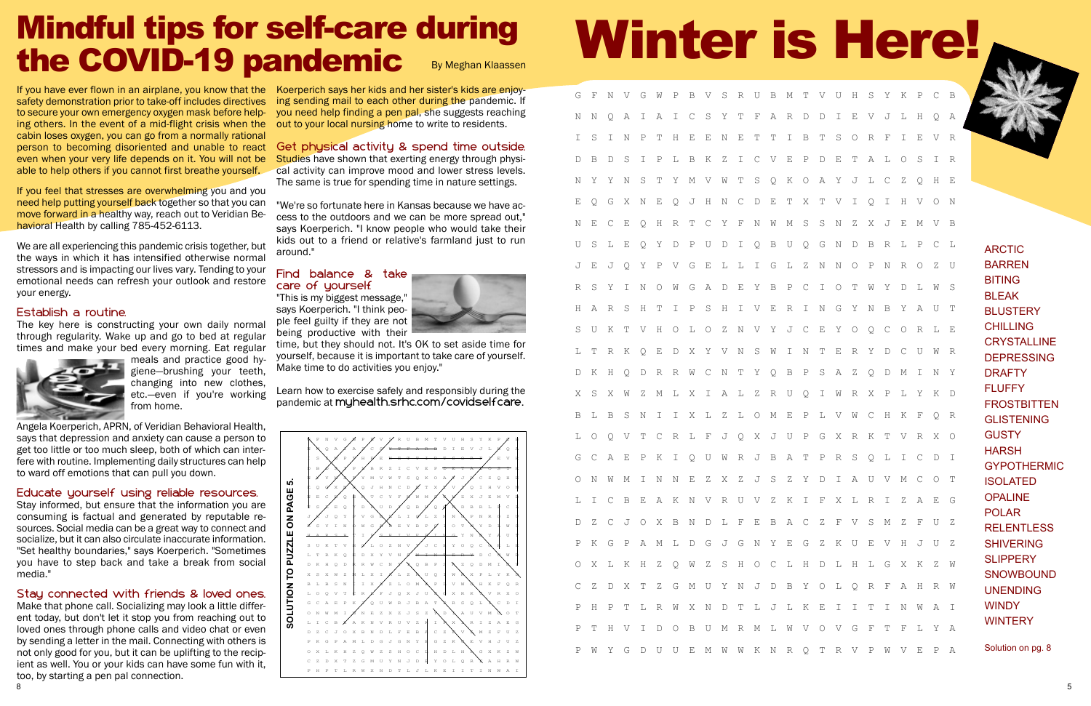T V U H S Y K P C B E V J L H Q A ORFIEVR PDETALOSIR O A Y J L C Z Q H E EQGXNEQJHNCDETXTVIQIHVON SNZXJEMVB Q G N D B R L P C L Z N N O P N R O Z U C I O T W Y D L W S INGYNBY AUT E Y O Q C O R L E ERYDCUWR PSAZQDMINY O I W R X P L Y K D PLVWCHKFQR P G X R K T V R X O T P R S Q L I C D I Y D I A U V M C O T XLRIZAEG F V S M Z F U Z G Z K U E V H J U Z H D L H L G X K Z W YOL OR FAHRW KEIITIN WAI VOVGFTFLYA O T R V P W V E P A

# Winter is Here!

| G                | F           | Ν                | V                     | G           | W                | Ρ            | B                | V           | $\rm S$     | R           | U           | B           | $\mathbb M$ |
|------------------|-------------|------------------|-----------------------|-------------|------------------|--------------|------------------|-------------|-------------|-------------|-------------|-------------|-------------|
| $\rm N$          | $\mathbb N$ | Q                | $\,$ $\,$             | Ι           | А                | I            | $\mathsf C$      | $\rm S$     | Υ           | Τ           | F           | А           | $\mathbb R$ |
| I                | $\mathbf S$ | I                | $\mathbb N$           | $\mathbf P$ | Τ                | Η            | E                | E           | $\mathbb N$ | Ε           | Τ           | Τ           | I           |
| $\mathbb D$      | B           | D                | $\mathbf S$           | I           | $\, {\mathbb P}$ | L            | B                | K           | Ζ           | I           | $\mathbb C$ | V           | E           |
| $\mathbb N$      | Υ           | Υ                | $\mathbb N$           | $\rm S$     | Τ                | Υ            | М                | V           | $\mathbb W$ | Τ           | $\rm S$     | Q           | K           |
| Ε                | Q           | G                | Χ                     | $\mathbb N$ | Ε                | Q            | J                | Η           | $\rm N$     | $\mathsf C$ | D           | Ε           | Τ           |
| $\rm N$          | Ε           | $\mathsf C$      | E                     | Q           | Η                | $\mathbb R$  | Τ                | $\mathsf C$ | Υ           | F           | $\rm N$     | W           | М           |
| U                | $\mathbf S$ | L                | E                     | Q           | Υ                | $\mathbb D$  | Ρ                | U           | $\mathbb D$ | I           | Q           | B           | U           |
| J                | Ε           | J                | Q                     | Υ           | $\, {\mathbb P}$ | V            | G                | E           | L           | L           | I           | G           | L           |
| $\mathbb R$      | $\rm S$     | Υ                | I                     | $\mathbb N$ | $\bigcirc$       | Ŵ            | G                | А           | $\mathbb D$ | Ε           | Υ           | B           | Ρ           |
| Η                | А           | R                | $\mathbf S$           | Η           | Τ                | I            | $\, {\mathbb P}$ | $\rm S$     | Η           | I           | V           | Е           | R           |
| $\rm S$          | U           | Κ                | Τ                     | V           | Η                | $\bigcirc$   | L                | О           | Ζ           | N           | V           | Υ           | J           |
| L                | T           | R                | K                     | Q           | E                | $\mathbb D$  | Χ                | Υ           | V           | $\mathbb N$ | $\rm S$     | W           | I           |
| D                | $\rm K$     | Η                | Q                     | D           | R                | $\mathbb R$  | W                | $\mathsf C$ | $\rm N$     | Τ           | Υ           | Q           | B           |
| Χ                | $\rm S$     | Χ                | W                     | Ζ           | М                | L            | Χ                | I           | А           | L           | Ζ           | R           | U           |
| B                | L           | B                | $\mathbf S$           | Ν           | I                | Ι            | Χ                | L           | Ζ           | L           | $\circ$     | М           | E           |
| L                | О           | Q                | $\boldsymbol{\nabla}$ | Τ           | $\mathsf C$      | R            | L                | F           | J           | Q           | Χ           | J           | U           |
| G                | $\mathsf C$ | А                | Ε                     | Ρ           | Κ                | Ι            | Q                | U           | W           | R           | J           | B           | А           |
| $\bigcirc$       | $\mathbb N$ | W                | $\mathbb M$           | I           | N                | $\mathbb N$  | E                | Ζ           | Χ           | Ζ           | J           | $\rm S$     | Ζ           |
| L                | I           | $\mathsf C$      | $\, {\bf B}$          | E           | Α                | Κ            | N                | V           | R           | U           | V           | Ζ           | K           |
| D                | Ζ           | $\mathcal{C}$    | J                     | $\bigcirc$  | Χ                | $\, {\bf B}$ | N                | $\mathbb D$ | L           | F           | E           | B           | Α           |
| $\, {\mathbb P}$ | Κ           | G                | $\, {\mathbb P}$      | Α           | М                | L            | $\mathbb D$      | G           | J           | G           | $\rm N$     | Υ           | E           |
| $\bigcirc$       | Χ           | L                | K                     | Η           | Ζ                | Q            | W                | $\rm{Z}$    | $\rm S$     | Η           | $\bigcirc$  | $\mathsf C$ | L           |
| $\mathsf C$      | $\rm{Z}$    | D                | Χ                     | T           | Ζ                | G            | $\mathbb M$      | U           | Υ           | $\mathbb N$ | J           | $\mathbb D$ | B           |
| $\, {\mathbb P}$ | Η           | $\, {\mathbb P}$ | $\mathbb T$           | L           | R                | W            | Χ                | $\mathbb N$ | D           | Τ           | L           | J           | L           |
| $\, {\mathbb P}$ | T           | Η                | V                     | I           | D                | $\bigcirc$   | $\, {\bf B}$     | U           | $\mathbb M$ | $\mathbb R$ | $\mathbb M$ | L           | W           |
| $\, {\mathbb P}$ | W           | Υ                | G                     | D           | U                | U            | Ε                | М           | W           | W           | К           | N           | R           |

If you have ever flown in an airplane, you know that the Koerperich says her kids and her sister's kids are enjoysafety demonstration prior to take-off includes directives to secure your own emergency oxygen mask before helping others. In the event of a mid-flight crisis when the out to your local nursing home to write to residents. cabin loses oxygen, you can go from a normally rational person to becoming disoriented and unable to react Get physical activity & spend time outside. even when your very life depends on it. You will not be able to help others if you cannot first breathe yourself.

If you feel that stresses are overwhelming you and you need help putting yourself back together so that you can move forward in a healthy way, reach out to Veridian Behavioral Health by calling 785-452-6113.

We are all experiencing this pandemic crisis together, but the ways in which it has intensified otherwise normal stressors and is impacting our lives vary. Tending to your emotional needs can refresh your outlook and restore your energy.

#### Establish a routine.

The key here is constructing your own daily normal through regularity. Wake up and go to bed at regular times and make your bed every morning. Eat regular



meals and practice good hygiene—brushing your teeth, changing into new clothes, etc.—even if you're working from home.

Studies have shown that exerting energy through physical activity can improve mood and lower stress levels. The same is true for spending time in nature settings.

Angela Koerperich, APRN, of Veridian Behavioral Health, says that depression and anxiety can cause a person to get too little or too much sleep, both of which can interfere with routine. Implementing daily structures can help to ward off emotions that can pull you down.

#### Find balance & take care of yourself.

#### Educate yourself using reliable resources.

Stay informed, but ensure that the information you are consuming is factual and generated by reputable resources. Social media can be a great way to connect and socialize, but it can also circulate inaccurate information. "Set healthy boundaries," says Koerperich. "Sometimes you have to step back and take a break from social media."

#### By Meghan Klaassen Mindful tips for self-care during the COVID-19 pandemic

#### Stay connected with friends & loved ones.

ARCTIC BARREN BITING BLEAK **BLUSTERY CHILLING CRYSTALLINE** DEPRESSING DRAFTY FLUFFY **FROSTBITTEN GLISTENING GUSTY** HARSH GYPOTHERMIC **ISOLATED OPALINE** POLAR **RELENTLESS** SHIVERING **SLIPPERY SNOWBOUND** UNENDING **WINDY WINTERY** 

Make that phone call. Socializing may look a little different today, but don't let it stop you from reaching out to loved ones through phone calls and video chat or even by sending a letter in the mail. Connecting with others is not only good for you, but it can be uplifting to the recipient as well. You or your kids can have some fun with it, too, by starting a pen pal connection.

ing sending mail to each other during the pandemic. If you need help finding a pen pal, she suggests reaching

"We're so fortunate here in Kansas because we have access to the outdoors and we can be more spread out," says Koerperich. "I know people who would take their kids out to a friend or relative's farmland just to run around."

"This is my biggest message," says Koerperich. "I think people feel guilty if they are not being productive with their



time, but they should not. It's OK to set aside time for yourself, because it is important to take care of yourself. Make time to do activities you enjoy."

Learn how to exercise safely and responsibly during the pandemic at myhealth.srhc.com/covidselfcare.

Solution on pg. 8